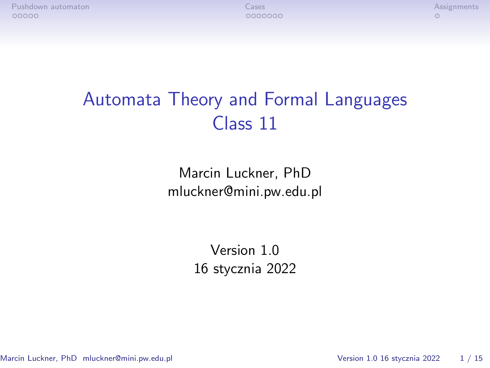[Pushdown automaton](#page-1-0) [Cases](#page-6-0) [Assignments](#page-13-0)

# Automata Theory and Formal Languages Class 11

Marcin Luckner, PhD mluckner@mini.pw.edu.pl

> Version 1.0 16 stycznia 2022

Marcin Luckner, PhD mluckner@mini.pw.edu.pl Version 1.0 16 stycznia 2022 1 / 15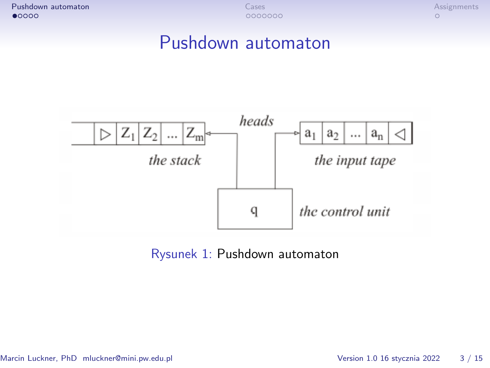<span id="page-1-0"></span>[Pushdown automaton](#page-1-0) [Cases](#page-6-0) [Assignments](#page-13-0)

## Pushdown automaton



Rysunek 1: Pushdown automaton

Marcin Luckner, PhD mluckner@mini.pw.edu.pl Version 1.0 16 stycznia 2022 3 / 15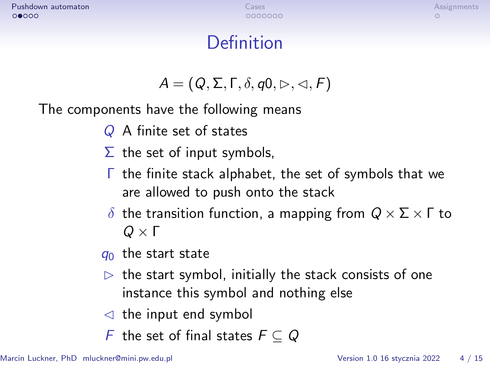# **Definition**

$$
A=(Q,\Sigma,\Gamma,\delta,q0,\triangleright,\triangleleft,F)
$$

The components have the following means

- Q A finite set of states
- $\Sigma$  the set of input symbols,
- Γ the finite stack alphabet, the set of symbols that we are allowed to push onto the stack
- *δ* the transition function, a mapping from Q *×* Σ *×* Γ to Q *×* Γ
- $q_0$  the start state
- $\triangleright$  the start symbol, initially the stack consists of one instance this symbol and nothing else
- $\triangleleft$  the input end symbol
- F the set of final states F *⊆* Q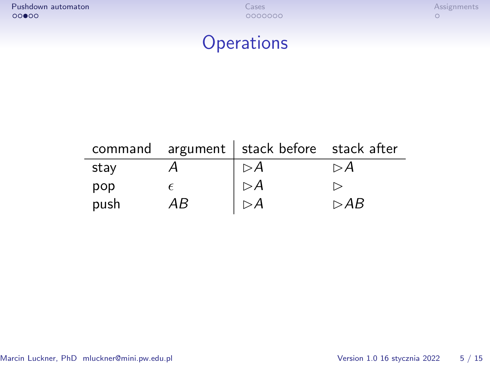[Pushdown automaton](#page-1-0) [Cases](#page-6-0) [Assignments](#page-13-0)

# **Operations**

|      |    | command argument   stack before stack after |     |
|------|----|---------------------------------------------|-----|
| stay |    | $\triangleright$ A                          | ⊳A  |
| pop  |    | $\triangleright$ A                          |     |
| push | ΑB | $\triangleright$ A                          | ⊳AB |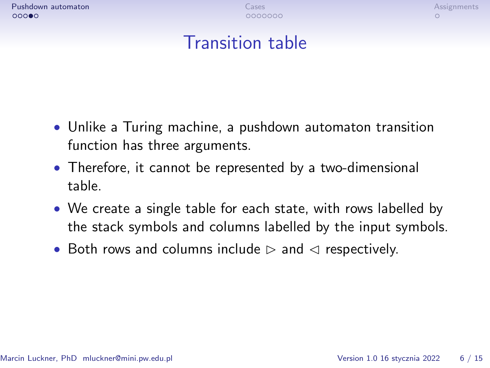# Transition table

- Unlike a Turing machine, a pushdown automaton transition function has three arguments.
- Therefore, it cannot be represented by a two-dimensional table.
- We create a single table for each state, with rows labelled by the stack symbols and columns labelled by the input symbols.
- Both rows and columns include  $\triangleright$  and  $\triangleleft$  respectively.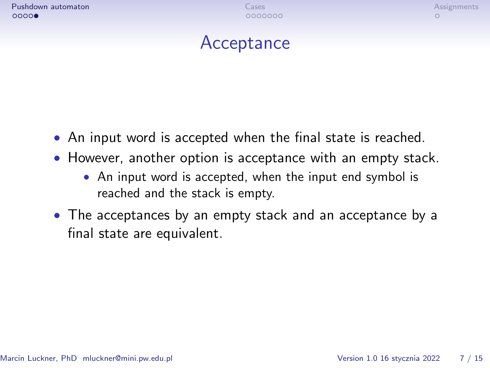# **Acceptance**

- An input word is accepted when the final state is reached.
- However, another option is acceptance with an empty stack.
	- An input word is accepted, when the input end symbol is reached and the stack is empty.
- The acceptances by an empty stack and an acceptance by a final state are equivalent.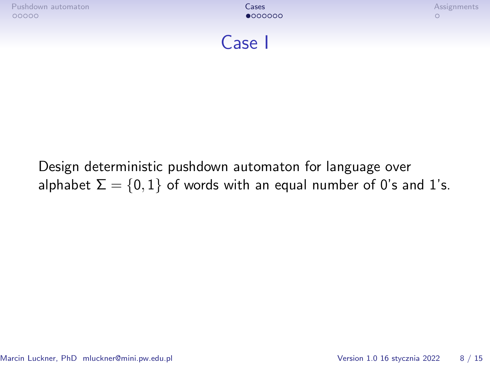<span id="page-6-0"></span>

| Pushdown automaton | Lases   | Assignments |
|--------------------|---------|-------------|
| 00000              | •000000 |             |

### Case I

### Design deterministic pushdown automaton for language over alphabet  $\Sigma = \{0, 1\}$  of words with an equal number of 0's and 1's.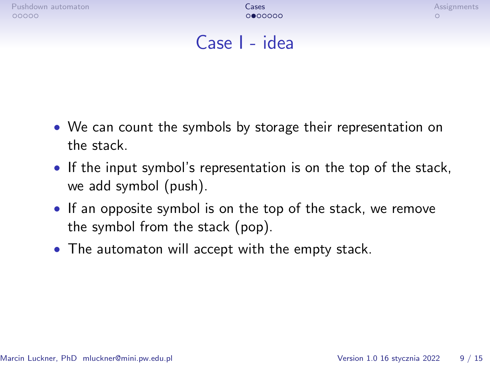[Pushdown automaton](#page-1-0) [Cases](#page-6-0) [Assignments](#page-13-0) (Cases Assignments Cases Assignments of the Cases Assignments of the Case

### Case I - idea

- We can count the symbols by storage their representation on the stack.
- If the input symbol's representation is on the top of the stack, we add symbol (push).
- If an opposite symbol is on the top of the stack, we remove the symbol from the stack (pop).
- The automaton will accept with the empty stack.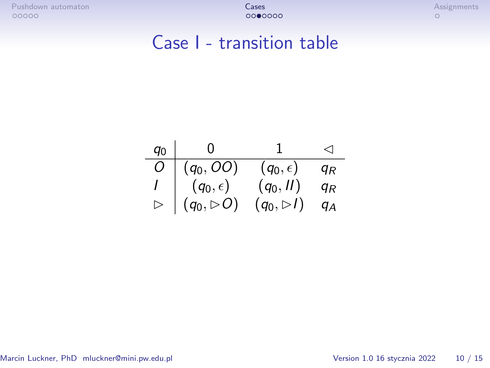[Pushdown automaton](#page-1-0) automaton [Cases](#page-6-0) Cases Cases Cases Cases Cases Cases Cases Cases Cases Cases Cases Cases Cases Cases Cases Cases Cases Cases Cases Cases Cases Cases Cases Cases Cases Cases Cases Cases Cases Cases Cases

## Case I - transition table

| $q_0$            | - 0                       |                           | ◁              |
|------------------|---------------------------|---------------------------|----------------|
| O                | $(q_0, OO)$               | $(q_0,\epsilon)$          | q <sub>R</sub> |
|                  | $(q_0,\epsilon)$          | $(q_0, II)$               | qĸ             |
| $\triangleright$ | $(q_0, \triangleright O)$ | $(q_0, \triangleright l)$ | qд             |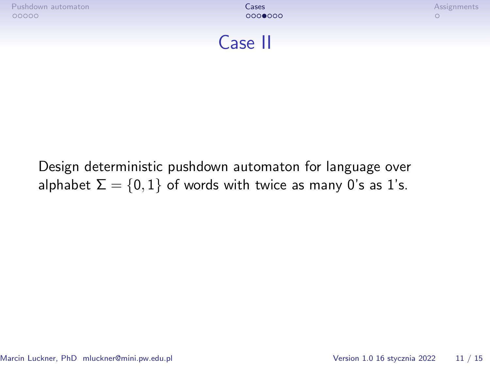| Pushdown automaton | Lases   | Assignments |
|--------------------|---------|-------------|
| 00000              | 0000000 |             |



### Design deterministic pushdown automaton for language over alphabet  $\Sigma = \{0, 1\}$  of words with twice as many 0's as 1's.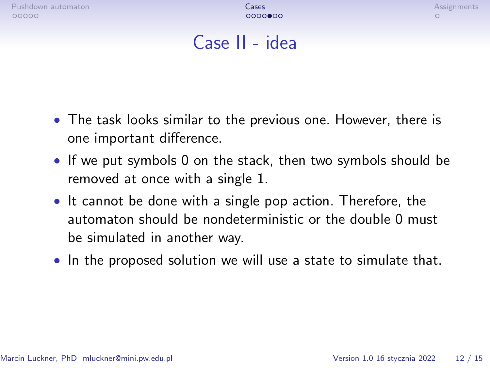[Pushdown automaton](#page-1-0) [Cases](#page-6-0) [Assignments](#page-13-0) (Cases Assignments Cases Assignments of the Cases Assignments of the Case

# Case II - idea

- The task looks similar to the previous one. However, there is one important difference.
- If we put symbols 0 on the stack, then two symbols should be removed at once with a single 1.
- It cannot be done with a single pop action. Therefore, the automaton should be nondeterministic or the double 0 must be simulated in another way.
- In the proposed solution we will use a state to simulate that.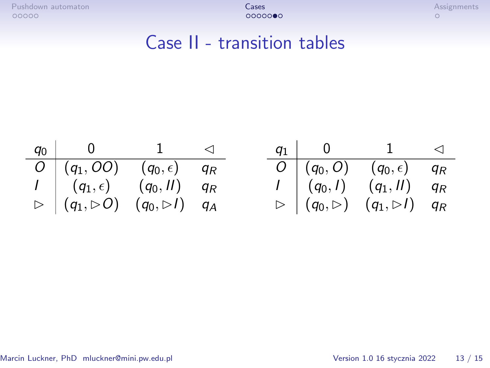[Pushdown automaton](#page-1-0) and the control of the control of the control of the control of the control of the control of the control of the control of the control of the control of the control of the control of the control of the

## Case II - transition tables

| $q_0$   0   1   $\lhd$                                                     |  |  | $q_1$   0   1   $\lhd$                                                   |  |
|----------------------------------------------------------------------------|--|--|--------------------------------------------------------------------------|--|
| $\overline{O}$ $(q_1, OO)$ $(q_0,\epsilon)$ $q_R$                          |  |  | $O (q_0,O)(q_0,\epsilon)$ $q_R$                                          |  |
| $I \left( q_1, \epsilon \right) \left( q_0, II \right)$ $q_R$              |  |  | $I \mid (q_0, I) \mid (q_1, II) \mid q_R$                                |  |
| $\triangleright$ $(q_1, \triangleright 0)$ $(q_0, \triangleright 1)$ $q_A$ |  |  | $\triangleright$ $(q_0, \triangleright)$ $(q_1, \triangleright l)$ $q_R$ |  |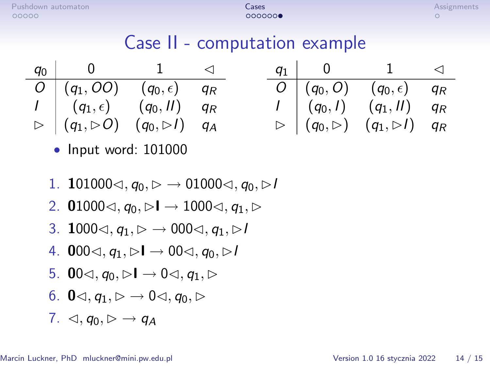# Case II - computation example

q<sup>0</sup> 0 1 C O (q1*,* OO) (q0*,* ) q<sup>R</sup> I (q1*,* ) (q0*,* II) q<sup>R</sup> B (q1*,* BO) (q0*,* BI) q<sup>A</sup> q<sup>1</sup> 0 1 C O (q0*,* O) (q0*,* ) q<sup>R</sup> I (q0*,* I) (q1*,* II) q<sup>R</sup> B (q0*,* B) (q1*,* BI) q<sup>R</sup>

- Input word: 101000
- 1. **1**01000⊲,  $q_0$ ,  $\triangleright$  → 01000⊲,  $q_0$ ,  $\triangleright$ *I*
- 2. **0**1000⊲,  $q_0$ ,  $\triangleright$ **I**  $\rightarrow$  1000⊲,  $q_1$ ,  $\triangleright$
- 3. **1000** $\lhd$ ,  $q_1$ ,  $\rhd \to 000 \lhd$ ,  $q_1$ ,  $\rhd$ *I*
- 4. **0**00⊴,  $q_1$ ,  $\triangleright$ **I**  $\rightarrow$  00⊴,  $q_0$ ,  $\triangleright$ I
- 5. **0**0 $\lhd$ ,  $g_0 \rhd \lhd \lhd 0 \lhd$ ,  $g_1 \rhd$
- 6. **0** $\triangleleft$ ,  $a_1 \triangleright \rightarrow 0 \triangleleft$ ,  $a_0 \triangleright$
- 7.  $\triangleleft$ ,  $q_0 \triangleright \rightarrow q_A$